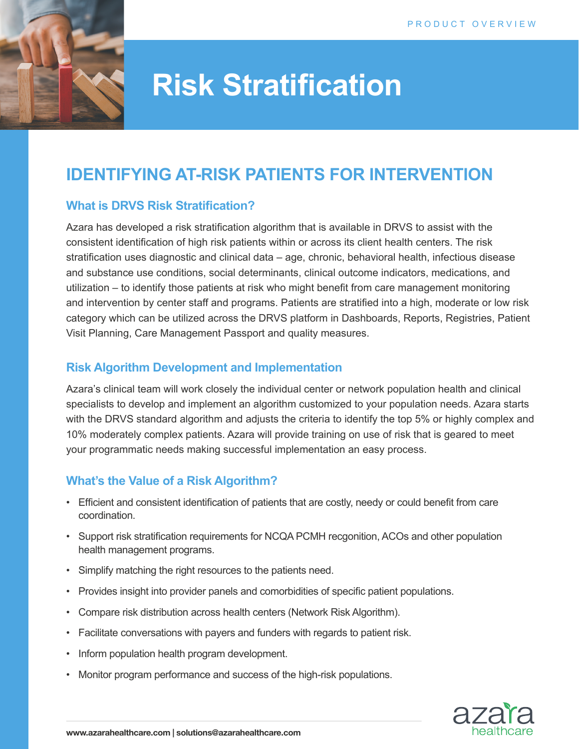

# **Risk Stratification**

# **IDENTIFYING AT-RISK PATIENTS FOR INTERVENTION**

#### **What is DRVS Risk Stratification?**

Azara has developed a risk stratification algorithm that is available in DRVS to assist with the consistent identification of high risk patients within or across its client health centers. The risk stratification uses diagnostic and clinical data – age, chronic, behavioral health, infectious disease and substance use conditions, social determinants, clinical outcome indicators, medications, and utilization – to identify those patients at risk who might benefit from care management monitoring and intervention by center staff and programs. Patients are stratified into a high, moderate or low risk category which can be utilized across the DRVS platform in Dashboards, Reports, Registries, Patient Visit Planning, Care Management Passport and quality measures.

### **Risk Algorithm Development and Implementation**

Azara's clinical team will work closely the individual center or network population health and clinical specialists to develop and implement an algorithm customized to your population needs. Azara starts with the DRVS standard algorithm and adjusts the criteria to identify the top 5% or highly complex and 10% moderately complex patients. Azara will provide training on use of risk that is geared to meet your programmatic needs making successful implementation an easy process.

# **What's the Value of a Risk Algorithm?**

- Efficient and consistent identification of patients that are costly, needy or could benefit from care coordination.
- Support risk stratification requirements for NCQA PCMH recgonition, ACOs and other population health management programs.
- Simplify matching the right resources to the patients need.
- Provides insight into provider panels and comorbidities of specific patient populations.
- Compare risk distribution across health centers (Network Risk Algorithm).
- Facilitate conversations with payers and funders with regards to patient risk.
- Inform population health program development.
- Monitor program performance and success of the high-risk populations.